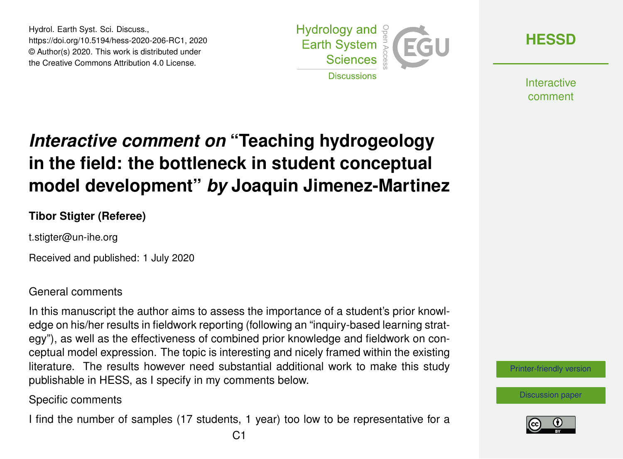Hydrol. Earth Syst. Sci. Discuss., https://doi.org/10.5194/hess-2020-206-RC1, 2020 © Author(s) 2020. This work is distributed under the Creative Commons Attribution 4.0 License.



**[HESSD](https://www.hydrol-earth-syst-sci-discuss.net/)**

**Interactive** comment

## *Interactive comment on* **"Teaching hydrogeology in the field: the bottleneck in student conceptual model development"** *by* **Joaquin Jimenez-Martinez**

## **Tibor Stigter (Referee)**

t.stigter@un-ihe.org

Received and published: 1 July 2020

General comments

In this manuscript the author aims to assess the importance of a student's prior knowledge on his/her results in fieldwork reporting (following an "inquiry-based learning strategy"), as well as the effectiveness of combined prior knowledge and fieldwork on conceptual model expression. The topic is interesting and nicely framed within the existing literature. The results however need substantial additional work to make this study publishable in HESS, as I specify in my comments below.

Specific comments

I find the number of samples (17 students, 1 year) too low to be representative for a



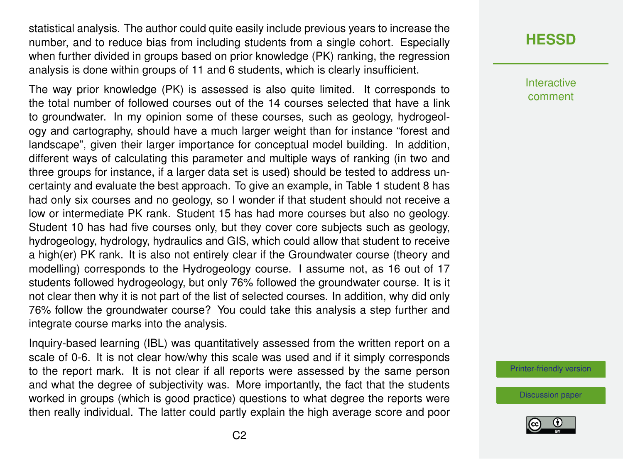statistical analysis. The author could quite easily include previous years to increase the number, and to reduce bias from including students from a single cohort. Especially when further divided in groups based on prior knowledge (PK) ranking, the regression analysis is done within groups of 11 and 6 students, which is clearly insufficient.

The way prior knowledge (PK) is assessed is also quite limited. It corresponds to the total number of followed courses out of the 14 courses selected that have a link to groundwater. In my opinion some of these courses, such as geology, hydrogeology and cartography, should have a much larger weight than for instance "forest and landscape", given their larger importance for conceptual model building. In addition, different ways of calculating this parameter and multiple ways of ranking (in two and three groups for instance, if a larger data set is used) should be tested to address uncertainty and evaluate the best approach. To give an example, in Table 1 student 8 has had only six courses and no geology, so I wonder if that student should not receive a low or intermediate PK rank. Student 15 has had more courses but also no geology. Student 10 has had five courses only, but they cover core subjects such as geology, hydrogeology, hydrology, hydraulics and GIS, which could allow that student to receive a high(er) PK rank. It is also not entirely clear if the Groundwater course (theory and modelling) corresponds to the Hydrogeology course. I assume not, as 16 out of 17 students followed hydrogeology, but only 76% followed the groundwater course. It is it not clear then why it is not part of the list of selected courses. In addition, why did only 76% follow the groundwater course? You could take this analysis a step further and integrate course marks into the analysis.

Inquiry-based learning (IBL) was quantitatively assessed from the written report on a scale of 0-6. It is not clear how/why this scale was used and if it simply corresponds to the report mark. It is not clear if all reports were assessed by the same person and what the degree of subjectivity was. More importantly, the fact that the students worked in groups (which is good practice) questions to what degree the reports were then really individual. The latter could partly explain the high average score and poor

## **[HESSD](https://www.hydrol-earth-syst-sci-discuss.net/)**

**Interactive** comment

[Printer-friendly version](https://www.hydrol-earth-syst-sci-discuss.net/hess-2020-206/hess-2020-206-RC1-print.pdf)

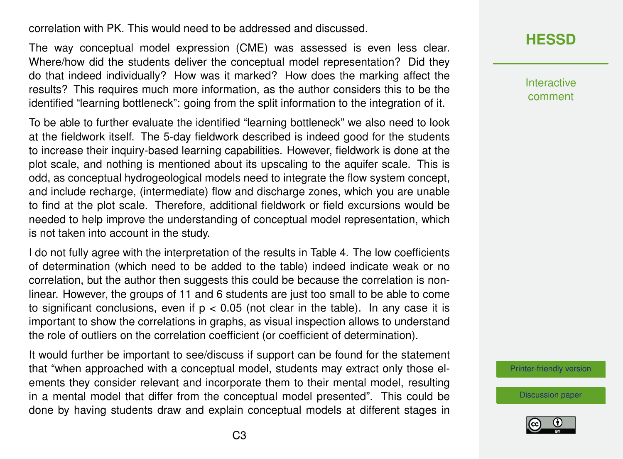correlation with PK. This would need to be addressed and discussed.

The way conceptual model expression (CME) was assessed is even less clear. Where/how did the students deliver the conceptual model representation? Did they do that indeed individually? How was it marked? How does the marking affect the results? This requires much more information, as the author considers this to be the identified "learning bottleneck": going from the split information to the integration of it.

To be able to further evaluate the identified "learning bottleneck" we also need to look at the fieldwork itself. The 5-day fieldwork described is indeed good for the students to increase their inquiry-based learning capabilities. However, fieldwork is done at the plot scale, and nothing is mentioned about its upscaling to the aquifer scale. This is odd, as conceptual hydrogeological models need to integrate the flow system concept, and include recharge, (intermediate) flow and discharge zones, which you are unable to find at the plot scale. Therefore, additional fieldwork or field excursions would be needed to help improve the understanding of conceptual model representation, which is not taken into account in the study.

I do not fully agree with the interpretation of the results in Table 4. The low coefficients of determination (which need to be added to the table) indeed indicate weak or no correlation, but the author then suggests this could be because the correlation is nonlinear. However, the groups of 11 and 6 students are just too small to be able to come to significant conclusions, even if  $p < 0.05$  (not clear in the table). In any case it is important to show the correlations in graphs, as visual inspection allows to understand the role of outliers on the correlation coefficient (or coefficient of determination).

It would further be important to see/discuss if support can be found for the statement that "when approached with a conceptual model, students may extract only those elements they consider relevant and incorporate them to their mental model, resulting in a mental model that differ from the conceptual model presented". This could be done by having students draw and explain conceptual models at different stages in



Interactive comment

[Printer-friendly version](https://www.hydrol-earth-syst-sci-discuss.net/hess-2020-206/hess-2020-206-RC1-print.pdf)